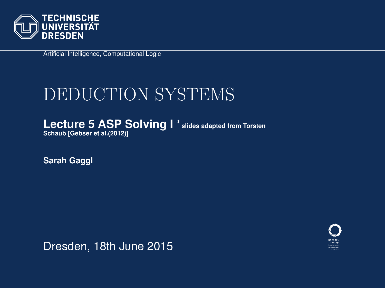

Artificial Intelligence, Computational Logic

# DEDUCTION SYSTEMS

Lecture 5 ASP Solving I<sup>\*</sup> slides adapted from Torsten **Schaub [\[Gebser et al.\(2012\)\]](#page-66-0)**

**Sarah Gaggl**

<span id="page-0-0"></span>

Dresden, 18th June 2015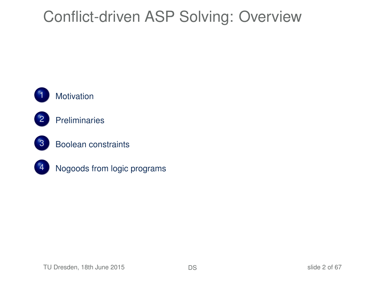# [Conflict-driven ASP Solving:](#page-1-0) Overview







3 [Boolean constraints](#page-28-0)



<span id="page-1-0"></span>[Nogoods from logic programs](#page-39-0)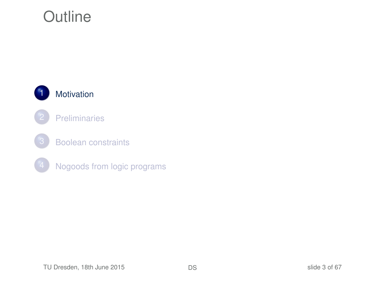# **Outline**

<span id="page-2-0"></span>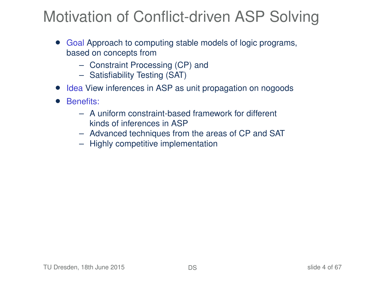# Motivation of Conflict-driven ASP Solving

- Goal Approach to computing stable models of logic programs, based on concepts from
	- Constraint Processing (CP) and
	- Satisfiability Testing (SAT)
- Idea View inferences in ASP as unit propagation on nogoods
- Benefits:
	- A uniform constraint-based framework for different kinds of inferences in ASP
	- Advanced techniques from the areas of CP and SAT
	- Highly competitive implementation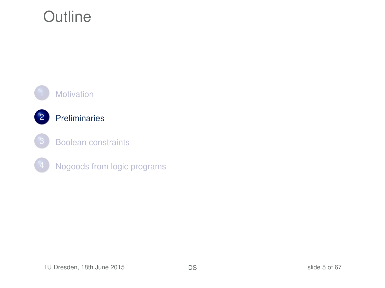# **Outline**

<span id="page-4-0"></span>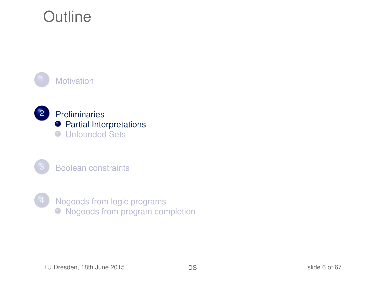# **Outline**

**[Motivation](#page-2-0)** 







<span id="page-5-0"></span>[Nogoods from logic programs](#page-39-0)  $\bullet$  [Nogoods from program completion](#page-40-0)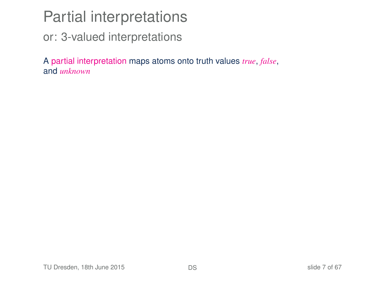or: 3-valued interpretations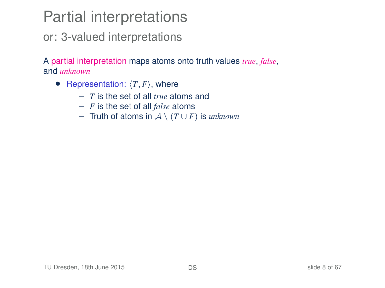or: 3-valued interpretations

- Representation:  $\langle T, F \rangle$ , where
	- *T* is the set of all *true* atoms and
	- *F* is the set of all *false* atoms
	- Truth of atoms in A \ (*T* ∪ *F*) is *unknown*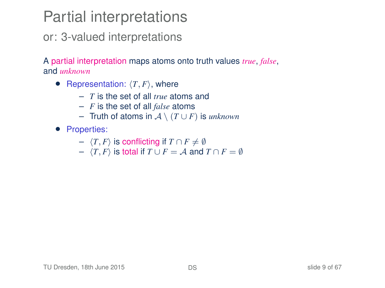or: 3-valued interpretations

- Representation:  $\langle T, F \rangle$ , where
	- *T* is the set of all *true* atoms and
	- *F* is the set of all *false* atoms
	- Truth of atoms in A \ (*T* ∪ *F*) is *unknown*
- Properties:
	- $\langle T, F \rangle$  is conflicting if  $T \cap F \neq \emptyset$
	- $\langle T, F \rangle$  is total if *T* ∪ *F* = *A* and *T* ∩ *F* = ∅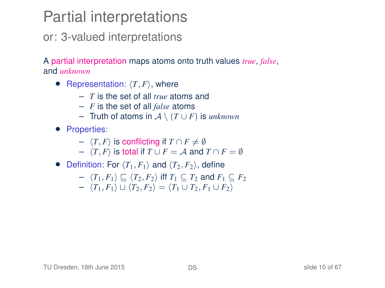or: 3-valued interpretations

- Representation:  $\langle T, F \rangle$ , where
	- *T* is the set of all *true* atoms and
	- *F* is the set of all *false* atoms
	- Truth of atoms in A \ (*T* ∪ *F*) is *unknown*
- Properties:
	- $\langle T, F \rangle$  is conflicting if  $T \cap F \neq \emptyset$
	- $\langle T, F \rangle$  is total if *T* ∪ *F* = *A* and *T* ∩ *F* = ∅
- Definition: For  $\langle T_1, F_1 \rangle$  and  $\langle T_2, F_2 \rangle$ , define

$$
- \langle T_1, F_1 \rangle \sqsubseteq \langle T_2, F_2 \rangle \text{ iff } T_1 \subseteq T_2 \text{ and } F_1 \subseteq F_2
$$

$$
- \langle T_1, F_1 \rangle \sqcup \langle T_2, F_2 \rangle = \langle T_1 \cup T_2, F_1 \cup F_2 \rangle
$$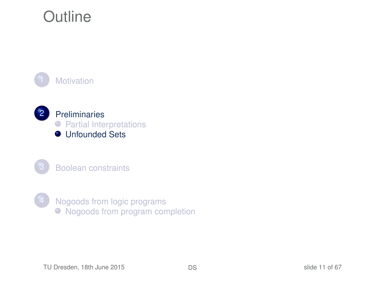# **Outline**

**[Motivation](#page-2-0)** 



[Boolean constraints](#page-28-0)



<span id="page-10-0"></span>[Nogoods from logic programs](#page-39-0)  $\bullet$  [Nogoods from program completion](#page-40-0)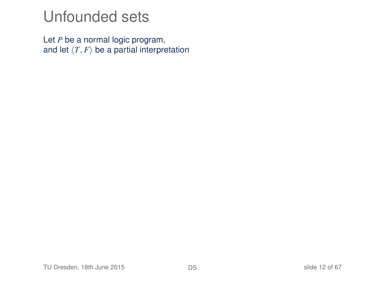Let *P* be a normal logic program, and let  $\langle T, F \rangle$  be a partial interpretation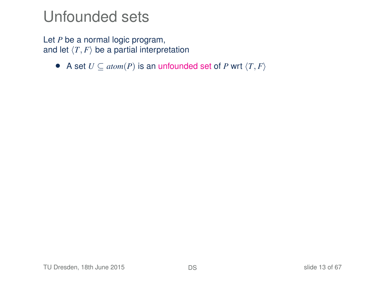Let *P* be a normal logic program, and let  $\langle T, F \rangle$  be a partial interpretation

• A set  $U \subseteq atom(P)$  is an unfounded set of *P* wrt  $\langle T, F \rangle$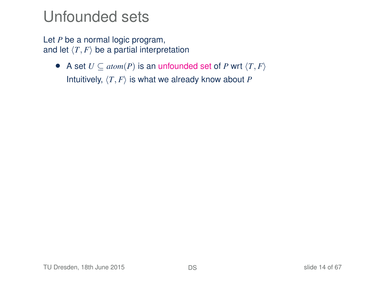Let *P* be a normal logic program, and let  $\langle T, F \rangle$  be a partial interpretation

• A set  $U \subseteq atom(P)$  is an unfounded set of *P* wrt  $\langle T, F \rangle$ Intuitively,  $\langle T, F \rangle$  is what we already know about *P*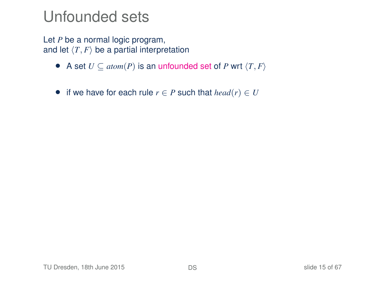Let *P* be a normal logic program, and let  $\langle T, F \rangle$  be a partial interpretation

- A set  $U \subseteq atom(P)$  is an unfounded set of *P* wrt  $\langle T, F \rangle$
- if we have for each rule  $r \in P$  such that  $head(r) \in U$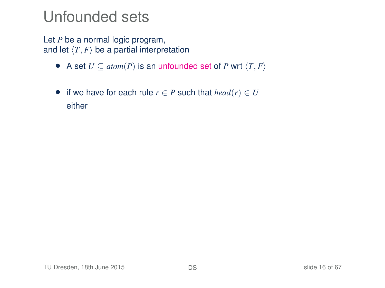Let *P* be a normal logic program, and let  $\langle T, F \rangle$  be a partial interpretation

- A set  $U \subseteq atom(P)$  is an unfounded set of *P* wrt  $\langle T, F \rangle$
- if we have for each rule  $r \in P$  such that  $head(r) \in U$ either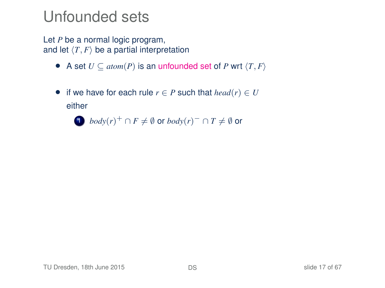Let *P* be a normal logic program, and let  $\langle T, F \rangle$  be a partial interpretation

- A set  $U \subseteq atom(P)$  is an unfounded set of *P* wrt  $\langle T, F \rangle$
- if we have for each rule  $r \in P$  such that  $head(r) \in U$ either

1 *body*(*r*)<sup>+</sup> ∩ *F*  $\neq$  *Ø* or *body*(*r*)<sup>−</sup> ∩ *T*  $\neq$  *Ø* or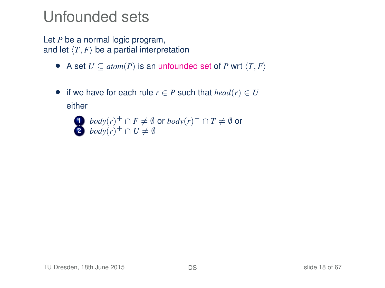Let *P* be a normal logic program, and let  $\langle T, F \rangle$  be a partial interpretation

- A set  $U \subseteq atom(P)$  is an unfounded set of *P* wrt  $\langle T, F \rangle$
- if we have for each rule  $r \in P$  such that  $head(r) \in U$ either
	- 1 *body*(*r*)<sup>+</sup> ∩ *F*  $\neq$  *Ø* or *body*(*r*)<sup>−</sup> ∩ *T*  $\neq$  *Ø* or 2 *body* $(r)^+ \cap U \neq \emptyset$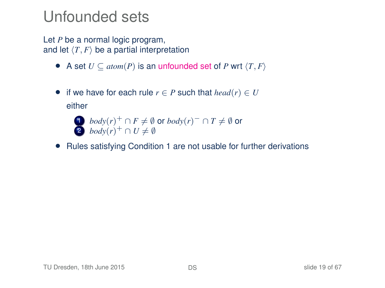Let *P* be a normal logic program, and let  $\langle T, F \rangle$  be a partial interpretation

- A set  $U \subseteq atom(P)$  is an unfounded set of *P* wrt  $\langle T, F \rangle$
- if we have for each rule  $r \in P$  such that  $head(r) \in U$ either

1 *body*(*r*)<sup>+</sup> ∩ *F*  $\neq$  *Ø* or *body*(*r*)<sup>−</sup> ∩ *T*  $\neq$  *Ø* or 2 *body* $(r)^+ \cap U \neq \emptyset$ 

• Rules satisfying Condition 1 are not usable for further derivations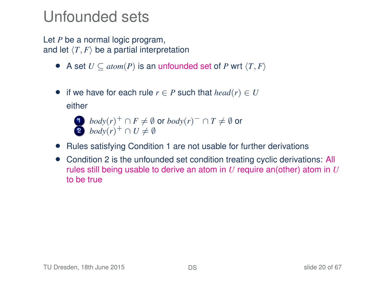Let *P* be a normal logic program, and let  $\langle T, F \rangle$  be a partial interpretation

- A set  $U \subseteq atom(P)$  is an unfounded set of *P* wrt  $\langle T, F \rangle$
- if we have for each rule  $r \in P$  such that  $head(r) \in U$ either

1 *body*(*r*)<sup>+</sup> ∩ *F*  $\neq$  *Ø* or *body*(*r*)<sup>−</sup> ∩ *T*  $\neq$  *Ø* or 2 *body* $(r)^+ \cap U \neq \emptyset$ 

- Rules satisfying Condition 1 are not usable for further derivations
- Condition 2 is the unfounded set condition treating cyclic derivations: All rules still being usable to derive an atom in *U* require an(other) atom in *U* to be true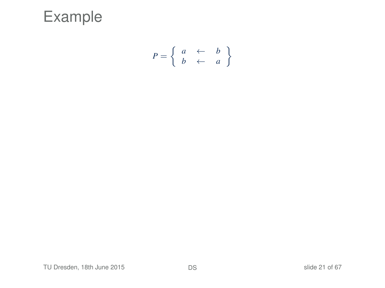

$$
P = \left\{ \begin{array}{ccc} a & \leftarrow & b \\ b & \leftarrow & a \end{array} \right\}
$$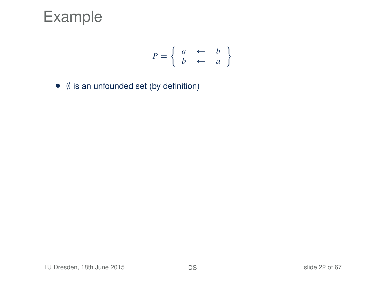$$
P = \left\{ \begin{array}{ccc} a & \leftarrow & b \\ b & \leftarrow & a \end{array} \right\}
$$

• ∅ is an unfounded set (by definition)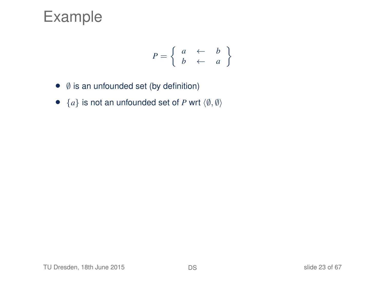$$
P = \left\{ \begin{array}{ccc} a & \leftarrow & b \\ b & \leftarrow & a \end{array} \right\}
$$

- ∅ is an unfounded set (by definition)
- ${a}$  is not an unfounded set of *P* wrt  $\langle \emptyset, \emptyset \rangle$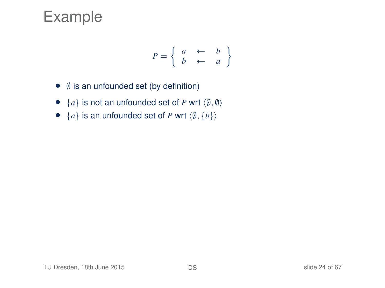$$
P = \left\{ \begin{array}{ccc} a & \leftarrow & b \\ b & \leftarrow & a \end{array} \right\}
$$

- ∅ is an unfounded set (by definition)
- $\{a\}$  is not an unfounded set of *P* wrt  $\langle \emptyset, \emptyset \rangle$
- ${a}$  is an unfounded set of *P* wrt  $\langle \emptyset, \{b\}\rangle$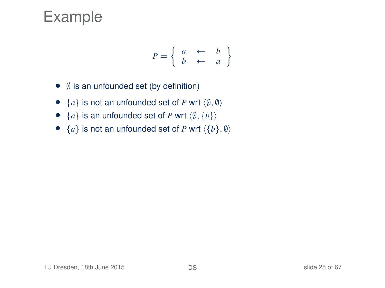$$
P = \left\{ \begin{array}{ccc} a & \leftarrow & b \\ b & \leftarrow & a \end{array} \right\}
$$

- ∅ is an unfounded set (by definition)
- $\{a\}$  is not an unfounded set of *P* wrt  $\langle \emptyset, \emptyset \rangle$
- ${a}$  is an unfounded set of *P* wrt  $\langle \emptyset, \{b\}\rangle$
- ${a}$  is not an unfounded set of *P* wrt  $\langle {b}$ ,  $\emptyset \rangle$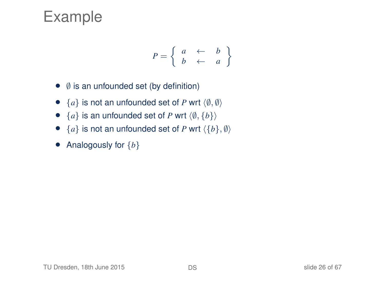$$
P = \left\{ \begin{array}{ccc} a & \leftarrow & b \\ b & \leftarrow & a \end{array} \right\}
$$

- ∅ is an unfounded set (by definition)
- $\{a\}$  is not an unfounded set of *P* wrt  $\langle \emptyset, \emptyset \rangle$
- ${a}$  is an unfounded set of *P* wrt  $\langle \emptyset, \{b\}\rangle$
- ${a}$  is not an unfounded set of *P* wrt  $\langle {b}$ ,  $\emptyset \rangle$
- Analogously for {*b*}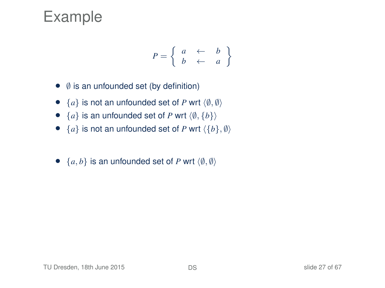$$
P = \left\{ \begin{array}{ccc} a & \leftarrow & b \\ b & \leftarrow & a \end{array} \right\}
$$

- ∅ is an unfounded set (by definition)
- $\{a\}$  is not an unfounded set of *P* wrt  $\langle \emptyset, \emptyset \rangle$
- ${a}$  is an unfounded set of *P* wrt  $\langle \emptyset, \{b\}\rangle$
- ${a}$  is not an unfounded set of *P* wrt  $\langle {b}$ ,  $\emptyset \rangle$
- $\{a, b\}$  is an unfounded set of *P* wrt  $\langle \emptyset, \emptyset \rangle$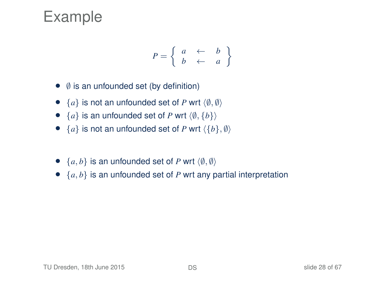$$
P = \left\{ \begin{array}{ccc} a & \leftarrow & b \\ b & \leftarrow & a \end{array} \right\}
$$

- ∅ is an unfounded set (by definition)
- $\{a\}$  is not an unfounded set of *P* wrt  $\langle \emptyset, \emptyset \rangle$
- ${a}$  is an unfounded set of *P* wrt  $\langle \emptyset, \{b\}\rangle$
- ${a}$  is not an unfounded set of *P* wrt  $\langle {b}$ ,  $\emptyset \rangle$
- $\{a, b\}$  is an unfounded set of *P* wrt  $\langle \emptyset, \emptyset \rangle$
- $\{a, b\}$  is an unfounded set of *P* wrt any partial interpretation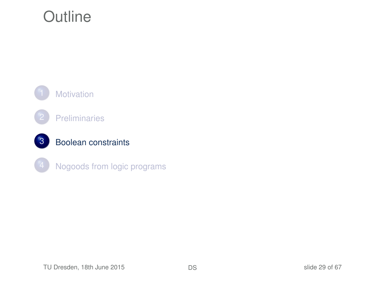# **Outline**

<span id="page-28-0"></span>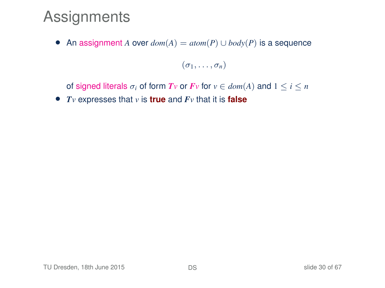• An assignment *A* over  $dom(A) = atom(P) \cup body(P)$  is a sequence

 $(\sigma_1, \ldots, \sigma_n)$ 

of signed literals  $\sigma_i$  of form  $Tv$  or  $Fv$  for  $v \in dom(A)$  and  $1 \le i \le n$ 

• *Tv* expresses that *v* is **true** and *Fv* that it is **false**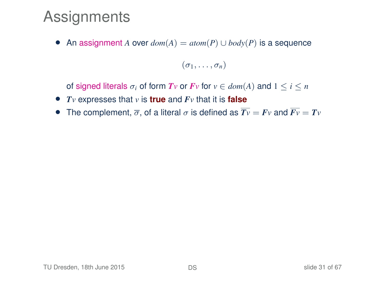• An assignment *A* over  $dom(A) = atom(P) \cup body(P)$  is a sequence

 $(\sigma_1, \ldots, \sigma_n)$ 

of signed literals  $\sigma_i$  of form  $Tv$  or  $Fv$  for  $v \in dom(A)$  and  $1 \le i \le n$ 

- *Tv* expresses that *v* is **true** and *Fv* that it is **false**
- The complement,  $\overline{\sigma}$ , of a literal  $\sigma$  is defined as  $\overline{Tv} = Fv$  and  $\overline{Fv} = Tv$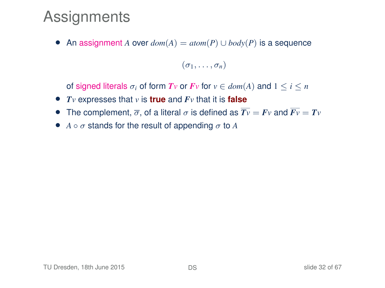• An assignment *A* over  $dom(A) = atom(P) \cup body(P)$  is a sequence

 $(\sigma_1, \ldots, \sigma_n)$ 

of signed literals  $\sigma_i$  of form  $Tv$  or  $Fv$  for  $v \in dom(A)$  and  $1 \leq i \leq n$ 

- *Tv* expresses that *v* is **true** and *Fv* that it is **false**
- The complement,  $\overline{\sigma}$ , of a literal  $\sigma$  is defined as  $\overline{Tv} = Fv$  and  $\overline{Fv} = Tv$
- $A \circ \sigma$  stands for the result of appending  $\sigma$  to  $A$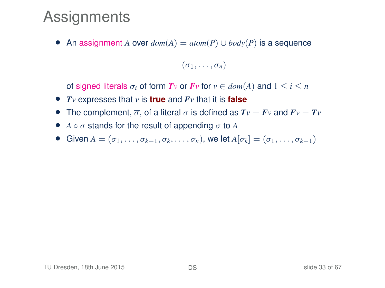• An assignment *A* over *dom*(*A*) = *atom*(*P*) ∪ *body*(*P*) is a sequence

 $(\sigma_1, \ldots, \sigma_n)$ 

of signed literals  $\sigma_i$  of form  $Tv$  or  $Fv$  for  $v \in dom(A)$  and  $1 \leq i \leq n$ 

- *Tv* expresses that *v* is **true** and *Fv* that it is **false**
- The complement,  $\overline{\sigma}$ , of a literal  $\sigma$  is defined as  $\overline{Tv} = Fv$  and  $\overline{Fv} = Tv$
- $A \circ \sigma$  stands for the result of appending  $\sigma$  to A
- Given  $A = (\sigma_1, \ldots, \sigma_{k-1}, \sigma_k, \ldots, \sigma_n)$ , we let  $A[\sigma_k] = (\sigma_1, \ldots, \sigma_{k-1})$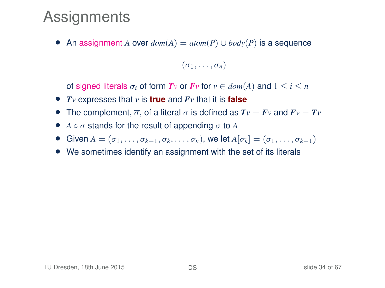• An assignment *A* over *dom*(*A*) = *atom*(*P*) ∪ *body*(*P*) is a sequence

 $(\sigma_1, \ldots, \sigma_n)$ 

of signed literals  $\sigma_i$  of form  $Tv$  or  $Fv$  for  $v \in dom(A)$  and  $1 \leq i \leq n$ 

- *Tv* expresses that *v* is **true** and *Fv* that it is **false**
- The complement,  $\overline{\sigma}$ , of a literal  $\sigma$  is defined as  $\overline{Tv} = Fv$  and  $\overline{Fv} = Tv$
- $A \circ \sigma$  stands for the result of appending  $\sigma$  to A
- $\bullet$  Given *A* = ( $\sigma_1, \ldots, \sigma_{k-1}, \sigma_k, \ldots, \sigma_n$ ), we let *A*[ $\sigma_k$ ] = ( $\sigma_1, \ldots, \sigma_{k-1}$ )
- We sometimes identify an assignment with the set of its literals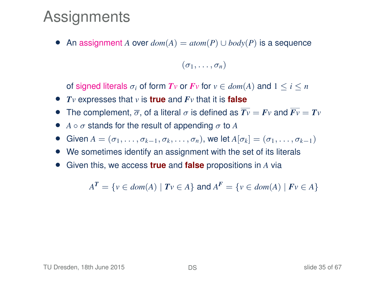• An assignment *A* over *dom*(*A*) = *atom*(*P*) ∪ *body*(*P*) is a sequence

 $(\sigma_1, \ldots, \sigma_n)$ 

of signed literals  $\sigma_i$  of form  $T_v$  or  $F_v$  for  $v \in dom(A)$  and  $1 \leq i \leq n$ 

- *Tv* expresses that *v* is **true** and *Fv* that it is **false**
- The complement,  $\overline{\sigma}$ , of a literal  $\sigma$  is defined as  $\overline{Tv} = Fv$  and  $\overline{Fv} = Tv$
- $A \circ \sigma$  stands for the result of appending  $\sigma$  to A
- Given  $A = (\sigma_1, \ldots, \sigma_{k-1}, \sigma_k, \ldots, \sigma_n)$ , we let  $A[\sigma_k] = (\sigma_1, \ldots, \sigma_{k-1})$
- We sometimes identify an assignment with the set of its literals
- Given this, we access **true** and **false** propositions in *A* via

 $A^T = \{v \in dom(A) \mid Tv \in A\}$  and  $A^F = \{v \in dom(A) \mid Fv \in A\}$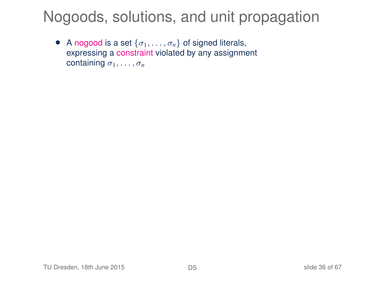• A nogood is a set  $\{\sigma_1, \ldots, \sigma_n\}$  of signed literals, expressing a constraint violated by any assignment containing  $\sigma_1, \ldots, \sigma_n$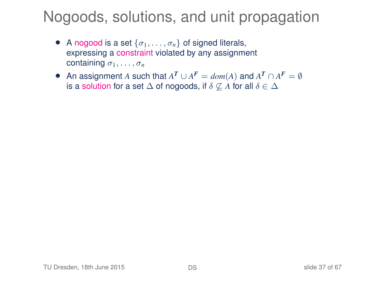- A nogood is a set  $\{\sigma_1, \ldots, \sigma_n\}$  of signed literals, expressing a constraint violated by any assignment containing  $\sigma_1, \ldots, \sigma_n$
- An assignment *A* such that  $A^T \cup A^F = dom(A)$  and  $A^T \cap A^F = \emptyset$ is a solution for a set  $\Delta$  of nogoods, if  $\delta \not\subseteq A$  for all  $\delta \in \Delta$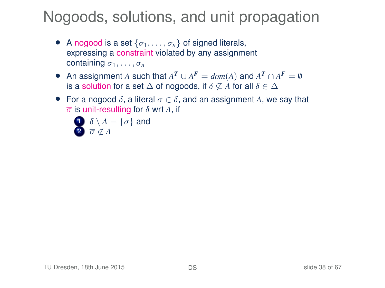- A nogood is a set  $\{\sigma_1, \ldots, \sigma_n\}$  of signed literals, expressing a constraint violated by any assignment containing  $\sigma_1, \ldots, \sigma_n$
- An assignment *A* such that  $A^T \cup A^F = dom(A)$  and  $A^T \cap A^F = \emptyset$ is a solution for a set  $\Delta$  of nogoods, if  $\delta \not\subseteq A$  for all  $\delta \in \Delta$
- For a nogood  $\delta$ , a literal  $\sigma \in \delta$ , and an assignment A, we say that  $\overline{\sigma}$  is unit-resulting for  $\delta$  wrt A, if

$$
\begin{array}{c}\n\mathbf{0} \\
\delta \setminus A = \{\sigma\} \text{ and} \\
\hline\n\sigma \not\in A\n\end{array}
$$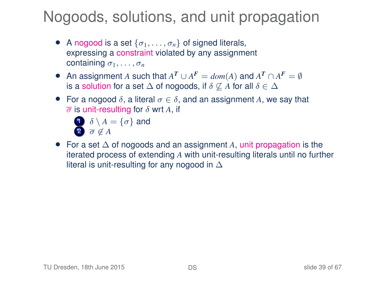- A nogood is a set  $\{\sigma_1, \ldots, \sigma_n\}$  of signed literals, expressing a constraint violated by any assignment containing  $\sigma_1, \ldots, \sigma_n$
- An assignment *A* such that  $A^T \cup A^F = dom(A)$  and  $A^T \cap A^F = \emptyset$ is a solution for a set  $\Delta$  of nogoods, if  $\delta \not\subseteq A$  for all  $\delta \in \Delta$
- For a nogood  $\delta$ , a literal  $\sigma \in \delta$ , and an assignment A, we say that  $\overline{\sigma}$  is unit-resulting for  $\delta$  wrt A, if

$$
\delta \setminus A = \{\sigma\} \text{ and } \overline{\sigma} \notin A
$$

• For a set ∆ of nogoods and an assignment *A*, unit propagation is the iterated process of extending *A* with unit-resulting literals until no further literal is unit-resulting for any nogood in ∆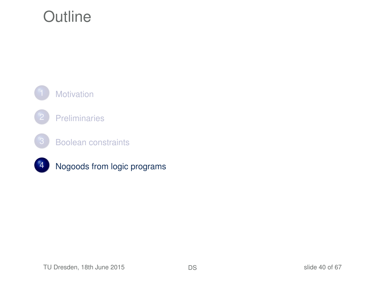# **Outline**

<span id="page-39-0"></span>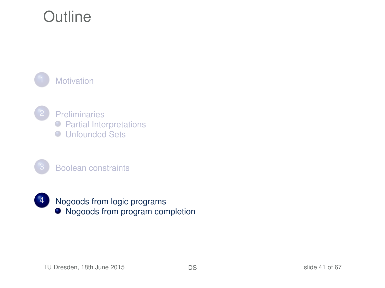# **Outline**

**[Motivation](#page-2-0)** 



**[Preliminaries](#page-4-0) • [Partial Interpretations](#page-5-0)** ● [Unfounded Sets](#page-10-0)





<span id="page-40-0"></span>4 [Nogoods from logic programs](#page-39-0)  $\bullet$  [Nogoods from program completion](#page-40-0)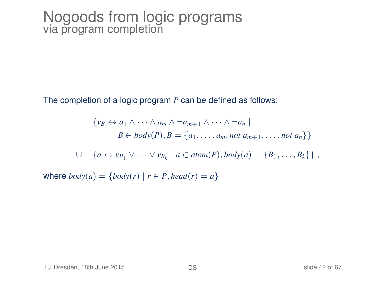The completion of a logic program *P* can be defined as follows:

 $\{v_B \leftrightarrow a_1 \wedge \cdots \wedge a_m \wedge \neg a_{m+1} \wedge \cdots \wedge \neg a_n\}$ *B* ∈ *body*(*P*), *B* = { $a_1, ..., a_m$ , *not*  $a_{m+1}, ...,$  *not*  $a_n$ }} ∪ { $a \leftrightarrow v_{B_1} \vee \cdots \vee v_{B_k} \mid a \in atom(P), body(a) = \{B_1, \ldots, B_k\} \}$ , where  $body(a) = \{body(r) | r \in P, head(r) = a\}$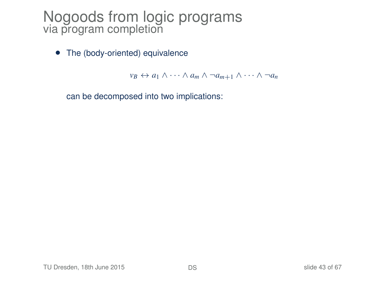• The (body-oriented) equivalence

 $v_B \leftrightarrow a_1 \wedge \cdots \wedge a_m \wedge \neg a_{m+1} \wedge \cdots \wedge \neg a_n$ 

can be decomposed into two implications: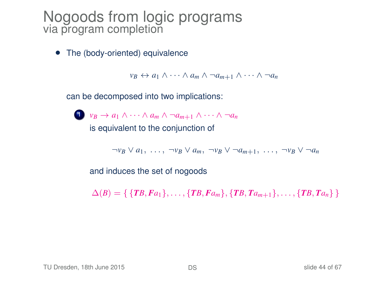• The (body-oriented) equivalence

 $v_B \leftrightarrow a_1 \wedge \cdots \wedge a_m \wedge \neg a_{m+1} \wedge \cdots \wedge \neg a_n$ 

can be decomposed into two implications:

1  $v_B \rightarrow a_1 \wedge \cdots \wedge a_m \wedge \neg a_{m+1} \wedge \cdots \wedge \neg a_n$ is equivalent to the conjunction of

 $\neg v_B \lor a_1, \ldots, \neg v_B \lor a_m, \neg v_B \lor \neg a_{m+1}, \ldots, \neg v_B \lor \neg a_n$ 

and induces the set of nogoods

 $\Delta(B) = \{ \{TB, Fa_1\}, \ldots, \{TB, Fa_m\}, \{TB, Ta_{m+1}\}, \ldots, \{TB, Ta_n\} \}$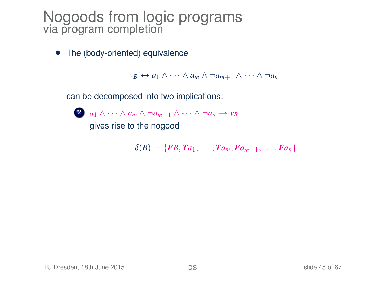• The (body-oriented) equivalence

 $v_B \leftrightarrow a_1 \wedge \cdots \wedge a_m \wedge \neg a_{m+1} \wedge \cdots \wedge \neg a_n$ 

can be decomposed into two implications:



gives rise to the nogood

 $\delta(B) = \{FB, Ta_1, \ldots, Ta_m, Fa_{m+1}, \ldots, Fa_n\}$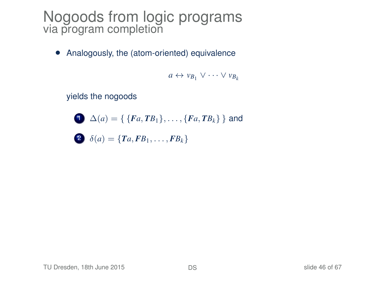• Analogously, the (atom-oriented) equivalence

*a* ↔  $v_{B_1} ∨ \cdots ∨ v_{B_k}$ 

yields the nogoods

$$
\bigodot \Delta(a) = \{ \{ Fa, TB_1\}, \ldots, \{ Fa, TB_k\} \}
$$
 and

$$
\bullet \quad \delta(a) = \{Ta, FB_1, \ldots, FB_k\}
$$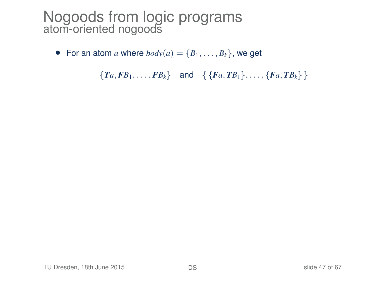• For an atom *a* where  $body(a) = \{B_1, \ldots, B_k\}$ , we get

 ${T_a, FB_1, \ldots, FB_k}$  and  ${F_a, TB_1}, \ldots, {F_a, TB_k}$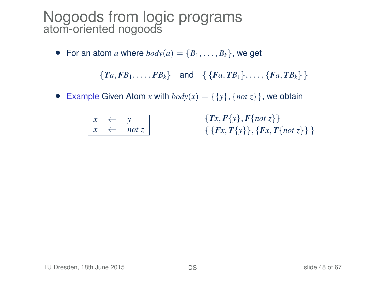• For an atom *a* where  $body(a) = \{B_1, \ldots, B_k\}$ , we get

 ${T_a, FB_1, \ldots, FB_k}$  and  ${F_a, TB_1}, \ldots, {F_a, TB_k}$ 

• Example Given Atom *x* with  $body(x) = \{\{y\}, \{not\} \}$ , we obtain

|  | not z |
|--|-------|

{*Tx*, *F*{*y*}, *F*{*not z*}}  $\{ \{Fx, T\{y\}\}, \{Fx, T\{not\ z\}\}\}$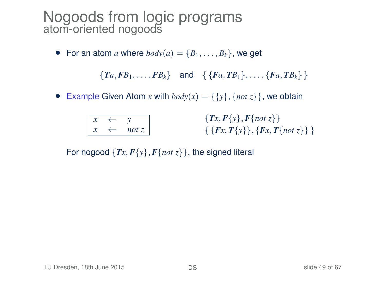• For an atom *a* where  $body(a) = \{B_1, \ldots, B_k\}$ , we get

 ${T_a, FB_1, \ldots, FB_k}$  and  ${F_a, TB_1}, \ldots, {F_a, TB_k}$ 

• Example Given Atom *x* with  $body(x) = \{\{y\}, \{not\} \}$ , we obtain

|  | not z |
|--|-------|

{*Tx*, *F*{*y*}, *F*{*not z*}} { {*Fx*, *T*{*y*}}, {*Fx*, *T*{*not z*}} }

For nogood  $\{Tx, F\{y\}, F\{not\ z\}\}\$ , the signed literal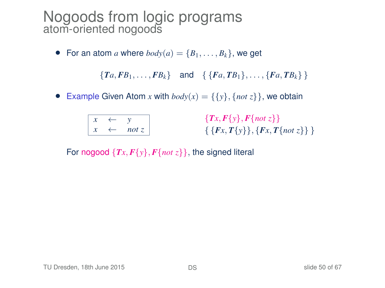• For an atom *a* where  $body(a) = \{B_1, \ldots, B_k\}$ , we get

 ${T_a, FB_1, \ldots, FB_k}$  and  ${F_a, TB_1}, \ldots, {F_a, TB_k}$ 

• Example Given Atom *x* with  $body(x) = \{\{y\}, \{not\} \}$ , we obtain

|  | not $z$ |
|--|---------|

{*Tx*, *F*{*y*}, *F*{*not z*}}  $\{ \{Fx, T\{y\}\}, \{Fx, T\{not\ z\}\}\}$ 

For nogood  $\{Tx, F\{y\}, F\{not\ z\}\}\$ , the signed literal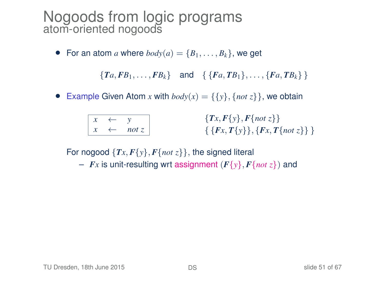• For an atom *a* where  $body(a) = \{B_1, \ldots, B_k\}$ , we get

 ${T_a, FB_1, \ldots, FB_k}$  and  ${F_a, TB_1}, \ldots, {F_a, TB_k}$ 

• Example Given Atom *x* with  $body(x) = \{\{y\}, \{not\} \}$ , we obtain

|  | not |
|--|-----|

{*Tx*, *F*{*y*}, *F*{*not z*}} { {*Fx*, *T*{*y*}}, {*Fx*, *T*{*not z*}} }

For nogood  $\{Tx, F\{y\}, F\{not\ z\}\}\$ , the signed literal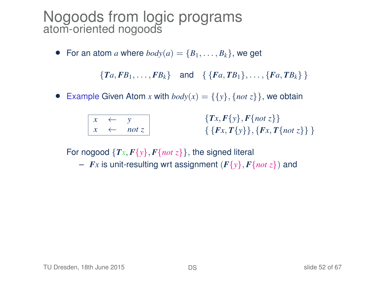• For an atom *a* where  $body(a) = \{B_1, \ldots, B_k\}$ , we get

 ${T_a, FB_1, \ldots, FB_k}$  and  ${F_a, TB_1}, \ldots, {F_a, TB_k}$ 

• Example Given Atom *x* with  $body(x) = \{\{y\}, \{not\} \}$ , we obtain

|  | not |
|--|-----|

{*Tx*, *F*{*y*}, *F*{*not z*}} { {*Fx*, *T*{*y*}}, {*Fx*, *T*{*not z*}} }

For nogood  $\{Tx, F\{y\}, F\{not\ z\}\}\$ , the signed literal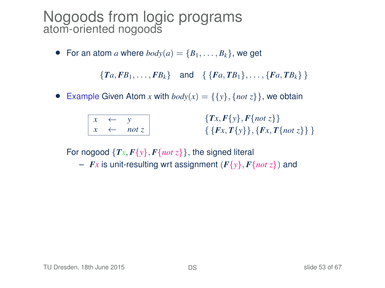• For an atom *a* where  $body(a) = \{B_1, \ldots, B_k\}$ , we get

 ${T_a, FB_1, \ldots, FB_k}$  and  ${F_a, TB_1}, \ldots, {F_a, TB_k}$ 

• Example Given Atom *x* with  $body(x) = \{\{y\}, \{not\} \}$ , we obtain

|  | not |
|--|-----|

{*Tx*, *F*{*y*}, *F*{*not z*}} { {*Fx*, *T*{*y*}}, {*Fx*, *T*{*not z*}} }

For nogood  $\{Tx, F\{y\}, F\{not\ z\}\}\$ , the signed literal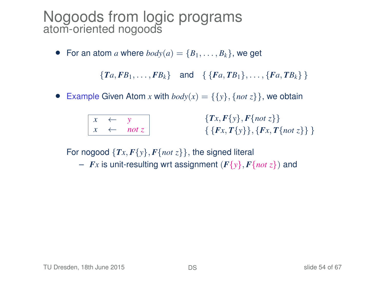• For an atom *a* where  $body(a) = \{B_1, \ldots, B_k\}$ , we get

 ${T_a, FB_1, \ldots, FB_k}$  and  ${F_a, TB_1}, \ldots, {F_a, TB_k}$ 

• Example Given Atom *x* with  $body(x) = \{\{y\}, \{not\} \}$ , we obtain

|  | 77 |
|--|----|

{*Tx*, *F*{*y*}, *F*{*not z*}} { {*Fx*, *T*{*y*}}, {*Fx*, *T*{*not z*}} }

For nogood  $\{Tx, F\{y\}, F\{not\ z\}\}\$ , the signed literal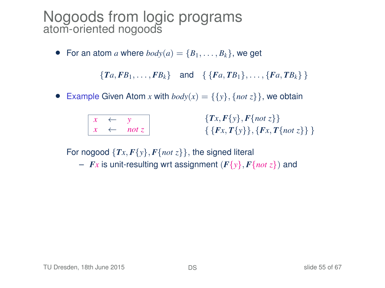• For an atom *a* where  $body(a) = \{B_1, \ldots, B_k\}$ , we get

 ${T_a, FB_1, \ldots, FB_k}$  and  ${F_a, TB_1}, \ldots, {F_a, TB_k}$ 

• Example Given Atom *x* with  $body(x) = \{\{y\}, \{not\} \}$ , we obtain

|  | по |
|--|----|

{*Tx*, *F*{*y*}, *F*{*not z*}} { {*Fx*, *T*{*y*}}, {*Fx*, *T*{*not z*}} }

For nogood  $\{Tx, F\{y\}, F\{not\ z\}\}\$ , the signed literal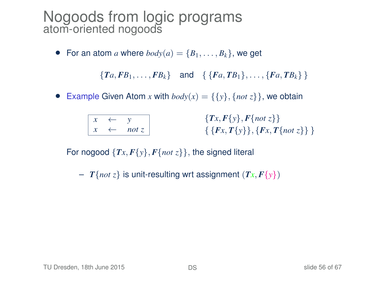• For an atom *a* where  $body(a) = \{B_1, \ldots, B_k\}$ , we get

 ${T_a, FB_1, \ldots, FB_k}$  and  ${F_a, TB_1}, \ldots, {F_a, TB_k}$ 

• Example Given Atom *x* with  $body(x) = \{\{y\}, \{not\} \}$ , we obtain

|  | noi |
|--|-----|

{*Tx*, *F*{*y*}, *F*{*not z*}} { {*Fx*, *T*{*y*}}, {*Fx*, *T*{*not z*}} }

For nogood  $\{Tx, F\{y\}, F\{not\ z\}\}\$ , the signed literal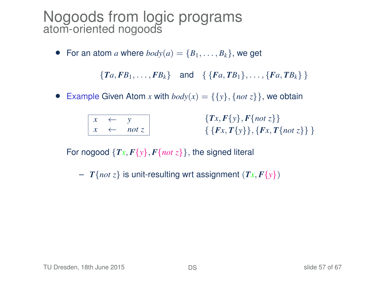• For an atom *a* where  $body(a) = \{B_1, \ldots, B_k\}$ , we get

 ${T_a, FB_1, \ldots, FB_k}$  and  ${F_a, TB_1}, \ldots, {F_a, TB_k}$ 

• Example Given Atom *x* with  $body(x) = \{\{y\}, \{not\} \}$ , we obtain

|  | not |
|--|-----|

{*Tx*, *F*{*y*}, *F*{*not z*}} { {*Fx*, *T*{*y*}}, {*Fx*, *T*{*not z*}} }

For nogood  $\{Tx, F\{y\}, F\{not\ z\}\}\$ , the signed literal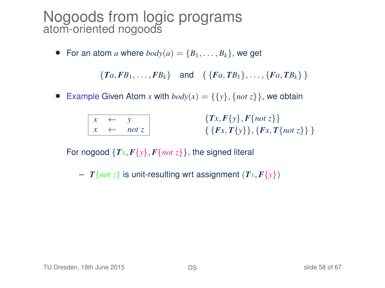• For an atom *a* where  $body(a) = \{B_1, \ldots, B_k\}$ , we get

 ${T_a, FB_1, \ldots, FB_k}$  and  ${F_a, TB_1}, \ldots, {F_a, TB_k}$ 

• Example Given Atom *x* with  $body(x) = \{\{y\}, \{not\} \}$ , we obtain

|  | not |
|--|-----|

{*Tx*, *F*{*y*}, *F*{*not z*}} { {*Fx*, *T*{*y*}}, {*Fx*, *T*{*not z*}} }

For nogood  $\{Tx, F\{y\}, F\{not\ z\}\}\$ , the signed literal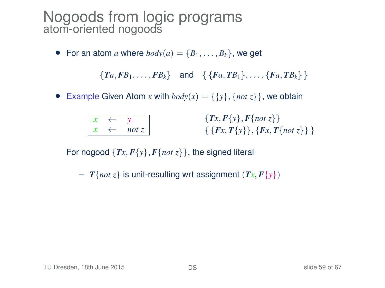• For an atom *a* where  $body(a) = \{B_1, \ldots, B_k\}$ , we get

 ${T_a, FB_1, \ldots, FB_k}$  and  ${F_a, TB_1}, \ldots, {F_a, TB_k}$ 

• Example Given Atom *x* with  $body(x) = \{\{y\}, \{not\} \}$ , we obtain

|  | not |
|--|-----|

{*Tx*, *F*{*y*}, *F*{*not z*}} { {*Fx*, *T*{*y*}}, {*Fx*, *T*{*not z*}} }

For nogood  $\{Tx, F\{y\}, F\{not\ z\}\}\$ , the signed literal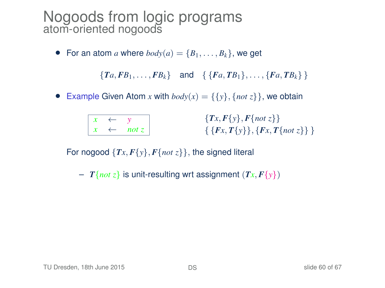• For an atom *a* where  $body(a) = \{B_1, \ldots, B_k\}$ , we get

 ${T_a, FB_1, \ldots, FB_k}$  and  ${F_a, TB_1}, \ldots, {F_a, TB_k}$ 

• Example Given Atom *x* with  $body(x) = \{\{y\}, \{not\} \}$ , we obtain

{*Tx*, *F*{*y*}, *F*{*not z*}} { {*Fx*, *T*{*y*}}, {*Fx*, *T*{*not z*}} }

For nogood  $\{Tx, F\{y\}, F\{not\ z\}\}\$ , the signed literal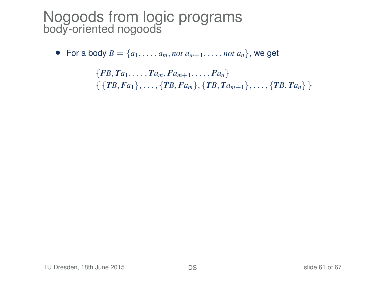• For a body  $B = \{a_1, \ldots, a_m, not \ a_{m+1}, \ldots, not \ a_n\}$ , we get

 ${F}{B, Ta_1, \ldots, Ta_m, Fa_{m+1}, \ldots, Fa_n}$  $\{ \{TB, Fa_1\}, \ldots, \{TB, Fa_m\}, \{TB, Ta_{m+1}\}, \ldots, \{TB, Ta_n\} \}$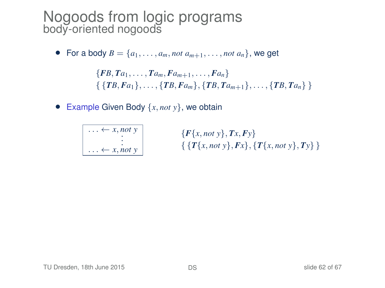• For a body  $B = \{a_1, \ldots, a_m, not \ a_{m+1}, \ldots, not \ a_n\}$ , we get

 ${F}{B, Ta_1, \ldots, Ta_m, Fa_{m+1}, \ldots, Fa_n}$  $\{ \{TB, Fa_1\}, \ldots, \{TB, Fa_m\}, \{TB, Ta_{m+1}\}, \ldots, \{TB, Ta_n\} \}$ 

• Example Given Body {*x*, *not y*}, we obtain

|  | $-x$ , not y     |
|--|------------------|
|  |                  |
|  |                  |
|  |                  |
|  | $- x, not$ $\nu$ |

{*F*{*x*, *not y*}, *Tx*, *Fy*} { {*T*{*x*, *not y*}, *Fx*}, {*T*{*x*, *not y*}, *Ty*} }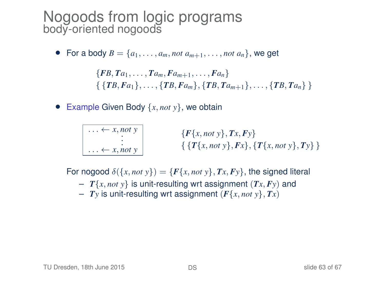• For a body  $B = \{a_1, \ldots, a_m, not a_{m+1}, \ldots, not a_n\}$ , we get

 ${F}{B, Ta_1, \ldots, Ta_m, Fa_{m+1}, \ldots, Fa_n}$  $\{ \{TB, Fa_1\}, \ldots, \{TB, Fa_m\}, \{TB, Ta_{m+1}\}, \ldots, \{TB, Ta_n\} \}$ 

• Example Given Body {*x*, *not y*}, we obtain

$$
\begin{array}{c}\n\begin{array}{c}\n\ldots \leftarrow x, not \ y \\
\vdots \\
\ldots \leftarrow x, not \ y\n\end{array}\n\end{array}\n\qquad \qquad \{\n\begin{array}{c}\nF\{x, not \ y\}, Tx, F\ y\} \\
\{T\{x, not \ y\}, F\ x\}, \{T\{x, not \ y\}, Ty\}\n\end{array}\n\}
$$

For nogood  $\delta({x, not y}) = {F{x, not y}, T{x, Fy}}$ , the signed literal

- $T\{x, not y\}$  is unit-resulting wrt assignment  $(Tx, Fy)$  and
- $-$  *Ty* is unit-resulting wrt assignment  $(F\{x, not\ y\}, Tx)$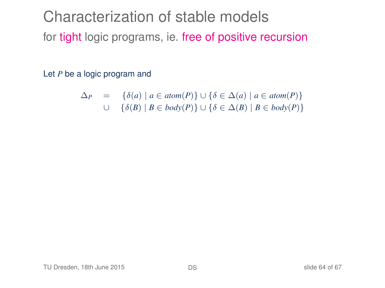Characterization of stable models for tight logic programs, ie. free of positive recursion

Let *P* be a logic program and

$$
\Delta_P = \{ \delta(a) \mid a \in atom(P) \} \cup \{ \delta \in \Delta(a) \mid a \in atom(P) \}
$$
  

$$
\cup \{ \delta(B) \mid B \in body(P) \} \cup \{ \delta \in \Delta(B) \mid B \in body(P) \}
$$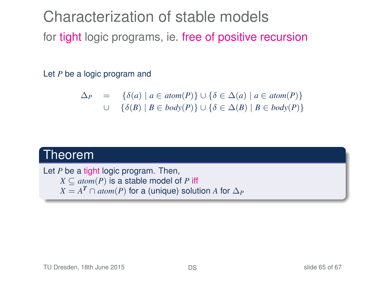Characterization of stable models for tight logic programs, ie. free of positive recursion

Let *P* be a logic program and

$$
\Delta_P = \{ \delta(a) \mid a \in atom(P) \} \cup \{ \delta \in \Delta(a) \mid a \in atom(P) \}
$$
  

$$
\cup \{ \delta(B) \mid B \in body(P) \} \cup \{ \delta \in \Delta(B) \mid B \in body(P) \}
$$

#### Theorem

Let *P* be a tight logic program. Then,  $X \subseteq atom(P)$  is a stable model of *P* iff  $X = A^T \cap atom(P)$  for a (unique) solution  $A$  for  $\Delta_P$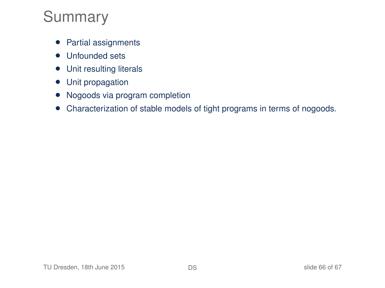## Summary

- Partial assignments
- Unfounded sets
- Unit resulting literals
- Unit propagation
- Nogoods via program completion
- Characterization of stable models of tight programs in terms of nogoods.